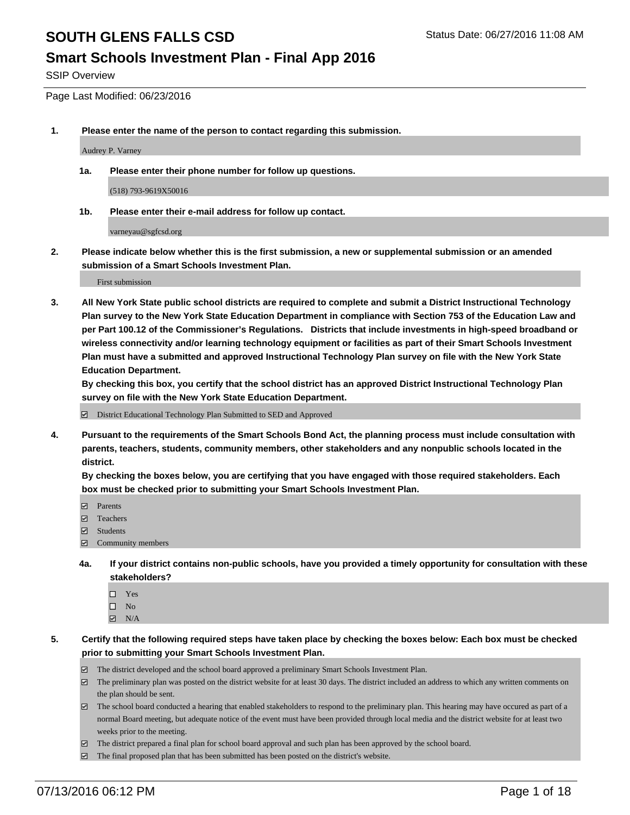#### **Smart Schools Investment Plan - Final App 2016**

SSIP Overview

Page Last Modified: 06/23/2016

**1. Please enter the name of the person to contact regarding this submission.**

Audrey P. Varney

**1a. Please enter their phone number for follow up questions.**

(518) 793-9619X50016

**1b. Please enter their e-mail address for follow up contact.**

varneyau@sgfcsd.org

**2. Please indicate below whether this is the first submission, a new or supplemental submission or an amended submission of a Smart Schools Investment Plan.**

First submission

**3. All New York State public school districts are required to complete and submit a District Instructional Technology Plan survey to the New York State Education Department in compliance with Section 753 of the Education Law and per Part 100.12 of the Commissioner's Regulations. Districts that include investments in high-speed broadband or wireless connectivity and/or learning technology equipment or facilities as part of their Smart Schools Investment Plan must have a submitted and approved Instructional Technology Plan survey on file with the New York State Education Department.** 

**By checking this box, you certify that the school district has an approved District Instructional Technology Plan survey on file with the New York State Education Department.**

District Educational Technology Plan Submitted to SED and Approved

**4. Pursuant to the requirements of the Smart Schools Bond Act, the planning process must include consultation with parents, teachers, students, community members, other stakeholders and any nonpublic schools located in the district.** 

**By checking the boxes below, you are certifying that you have engaged with those required stakeholders. Each box must be checked prior to submitting your Smart Schools Investment Plan.**

- **Parents**
- Teachers
- Students
- Community members
- **4a. If your district contains non-public schools, have you provided a timely opportunity for consultation with these stakeholders?**
	- $\Box$  Yes  $\square$  No
	- $\boxtimes$  N/A
- **5. Certify that the following required steps have taken place by checking the boxes below: Each box must be checked prior to submitting your Smart Schools Investment Plan.**
	- The district developed and the school board approved a preliminary Smart Schools Investment Plan.
	- $\boxdot$  The preliminary plan was posted on the district website for at least 30 days. The district included an address to which any written comments on the plan should be sent.
	- $\Box$  The school board conducted a hearing that enabled stakeholders to respond to the preliminary plan. This hearing may have occured as part of a normal Board meeting, but adequate notice of the event must have been provided through local media and the district website for at least two weeks prior to the meeting.
	- The district prepared a final plan for school board approval and such plan has been approved by the school board.
	- $\boxdot$  The final proposed plan that has been submitted has been posted on the district's website.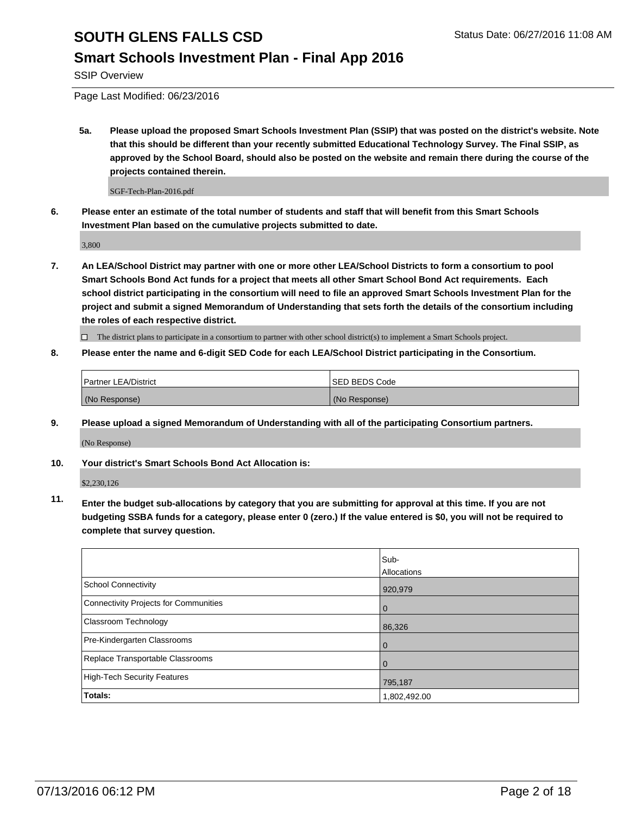#### **Smart Schools Investment Plan - Final App 2016**

SSIP Overview

Page Last Modified: 06/23/2016

**5a. Please upload the proposed Smart Schools Investment Plan (SSIP) that was posted on the district's website. Note that this should be different than your recently submitted Educational Technology Survey. The Final SSIP, as approved by the School Board, should also be posted on the website and remain there during the course of the projects contained therein.**

SGF-Tech-Plan-2016.pdf

**6. Please enter an estimate of the total number of students and staff that will benefit from this Smart Schools Investment Plan based on the cumulative projects submitted to date.**

3,800

**7. An LEA/School District may partner with one or more other LEA/School Districts to form a consortium to pool Smart Schools Bond Act funds for a project that meets all other Smart School Bond Act requirements. Each school district participating in the consortium will need to file an approved Smart Schools Investment Plan for the project and submit a signed Memorandum of Understanding that sets forth the details of the consortium including the roles of each respective district.**

 $\Box$  The district plans to participate in a consortium to partner with other school district(s) to implement a Smart Schools project.

**8. Please enter the name and 6-digit SED Code for each LEA/School District participating in the Consortium.**

| <b>Partner LEA/District</b> | ISED BEDS Code |
|-----------------------------|----------------|
| (No Response)               | (No Response)  |

**9. Please upload a signed Memorandum of Understanding with all of the participating Consortium partners.**

(No Response)

**10. Your district's Smart Schools Bond Act Allocation is:**

\$2,230,126

**11. Enter the budget sub-allocations by category that you are submitting for approval at this time. If you are not budgeting SSBA funds for a category, please enter 0 (zero.) If the value entered is \$0, you will not be required to complete that survey question.**

|                                       | Sub-         |
|---------------------------------------|--------------|
|                                       | Allocations  |
| <b>School Connectivity</b>            | 920,979      |
| Connectivity Projects for Communities | 0            |
| <b>Classroom Technology</b>           | 86,326       |
| Pre-Kindergarten Classrooms           | O            |
| Replace Transportable Classrooms      |              |
| High-Tech Security Features           | 795,187      |
| Totals:                               | 1,802,492.00 |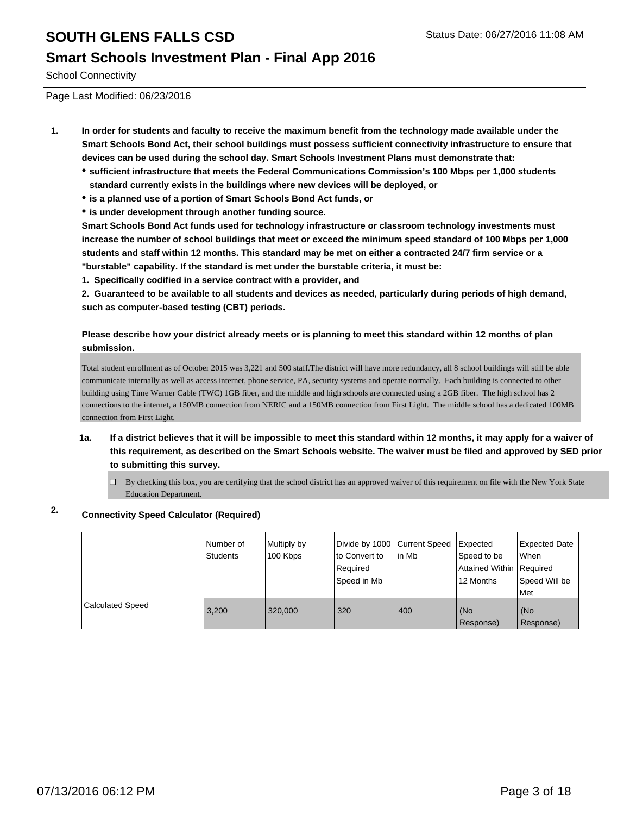### **Smart Schools Investment Plan - Final App 2016**

School Connectivity

Page Last Modified: 06/23/2016

- **1. In order for students and faculty to receive the maximum benefit from the technology made available under the Smart Schools Bond Act, their school buildings must possess sufficient connectivity infrastructure to ensure that devices can be used during the school day. Smart Schools Investment Plans must demonstrate that:**
	- **sufficient infrastructure that meets the Federal Communications Commission's 100 Mbps per 1,000 students standard currently exists in the buildings where new devices will be deployed, or**
	- **is a planned use of a portion of Smart Schools Bond Act funds, or**
	- **is under development through another funding source.**

**Smart Schools Bond Act funds used for technology infrastructure or classroom technology investments must increase the number of school buildings that meet or exceed the minimum speed standard of 100 Mbps per 1,000 students and staff within 12 months. This standard may be met on either a contracted 24/7 firm service or a "burstable" capability. If the standard is met under the burstable criteria, it must be:**

**1. Specifically codified in a service contract with a provider, and**

**2. Guaranteed to be available to all students and devices as needed, particularly during periods of high demand, such as computer-based testing (CBT) periods.**

#### **Please describe how your district already meets or is planning to meet this standard within 12 months of plan submission.**

Total student enrollment as of October 2015 was 3,221 and 500 staff.The district will have more redundancy, all 8 school buildings will still be able communicate internally as well as access internet, phone service, PA, security systems and operate normally. Each building is connected to other building using Time Warner Cable (TWC) 1GB fiber, and the middle and high schools are connected using a 2GB fiber. The high school has 2 connections to the internet, a 150MB connection from NERIC and a 150MB connection from First Light. The middle school has a dedicated 100MB connection from First Light.

- **1a. If a district believes that it will be impossible to meet this standard within 12 months, it may apply for a waiver of this requirement, as described on the Smart Schools website. The waiver must be filed and approved by SED prior to submitting this survey.**
	- $\Box$  By checking this box, you are certifying that the school district has an approved waiver of this requirement on file with the New York State Education Department.

### **2. Connectivity Speed Calculator (Required)**

|                  | Number of<br>Students | Multiply by<br>100 Kbps | Divide by 1000 Current Speed<br>to Convert to<br>Reauired<br>Speed in Mb | lin Mb | Expected<br>Speed to be<br>Attained Within Required<br>12 Months | Expected Date<br><b>When</b><br>Speed Will be<br><b>Met</b> |
|------------------|-----------------------|-------------------------|--------------------------------------------------------------------------|--------|------------------------------------------------------------------|-------------------------------------------------------------|
| Calculated Speed | 3.200                 | 320,000                 | 320                                                                      | 400    | (No<br>Response)                                                 | (No<br>Response)                                            |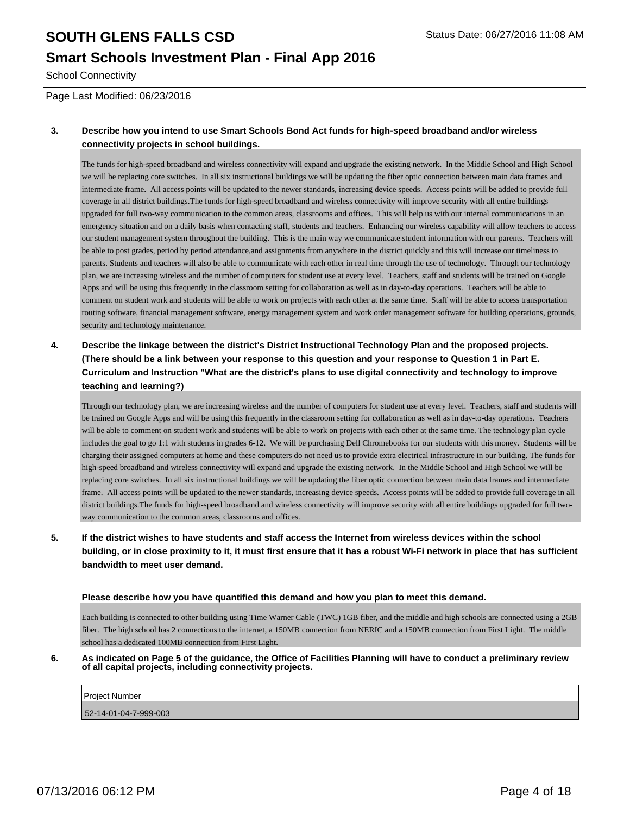#### **Smart Schools Investment Plan - Final App 2016**

School Connectivity

Page Last Modified: 06/23/2016

#### **3. Describe how you intend to use Smart Schools Bond Act funds for high-speed broadband and/or wireless connectivity projects in school buildings.**

The funds for high-speed broadband and wireless connectivity will expand and upgrade the existing network. In the Middle School and High School we will be replacing core switches. In all six instructional buildings we will be updating the fiber optic connection between main data frames and intermediate frame. All access points will be updated to the newer standards, increasing device speeds. Access points will be added to provide full coverage in all district buildings.The funds for high-speed broadband and wireless connectivity will improve security with all entire buildings upgraded for full two-way communication to the common areas, classrooms and offices. This will help us with our internal communications in an emergency situation and on a daily basis when contacting staff, students and teachers. Enhancing our wireless capability will allow teachers to access our student management system throughout the building. This is the main way we communicate student information with our parents. Teachers will be able to post grades, period by period attendance,and assignments from anywhere in the district quickly and this will increase our timeliness to parents. Students and teachers will also be able to communicate with each other in real time through the use of technology. Through our technology plan, we are increasing wireless and the number of computers for student use at every level. Teachers, staff and students will be trained on Google Apps and will be using this frequently in the classroom setting for collaboration as well as in day-to-day operations. Teachers will be able to comment on student work and students will be able to work on projects with each other at the same time. Staff will be able to access transportation routing software, financial management software, energy management system and work order management software for building operations, grounds, security and technology maintenance.

**4. Describe the linkage between the district's District Instructional Technology Plan and the proposed projects. (There should be a link between your response to this question and your response to Question 1 in Part E. Curriculum and Instruction "What are the district's plans to use digital connectivity and technology to improve teaching and learning?)**

Through our technology plan, we are increasing wireless and the number of computers for student use at every level. Teachers, staff and students will be trained on Google Apps and will be using this frequently in the classroom setting for collaboration as well as in day-to-day operations. Teachers will be able to comment on student work and students will be able to work on projects with each other at the same time. The technology plan cycle includes the goal to go 1:1 with students in grades 6-12. We will be purchasing Dell Chromebooks for our students with this money. Students will be charging their assigned computers at home and these computers do not need us to provide extra electrical infrastructure in our building. The funds for high-speed broadband and wireless connectivity will expand and upgrade the existing network. In the Middle School and High School we will be replacing core switches. In all six instructional buildings we will be updating the fiber optic connection between main data frames and intermediate frame. All access points will be updated to the newer standards, increasing device speeds. Access points will be added to provide full coverage in all district buildings.The funds for high-speed broadband and wireless connectivity will improve security with all entire buildings upgraded for full twoway communication to the common areas, classrooms and offices.

**5. If the district wishes to have students and staff access the Internet from wireless devices within the school building, or in close proximity to it, it must first ensure that it has a robust Wi-Fi network in place that has sufficient bandwidth to meet user demand.**

**Please describe how you have quantified this demand and how you plan to meet this demand.**

Each building is connected to other building using Time Warner Cable (TWC) 1GB fiber, and the middle and high schools are connected using a 2GB fiber. The high school has 2 connections to the internet, a 150MB connection from NERIC and a 150MB connection from First Light. The middle school has a dedicated 100MB connection from First Light.

**6. As indicated on Page 5 of the guidance, the Office of Facilities Planning will have to conduct a preliminary review of all capital projects, including connectivity projects.**

| Proiect Number        |
|-----------------------|
| 52-14-01-04-7-999-003 |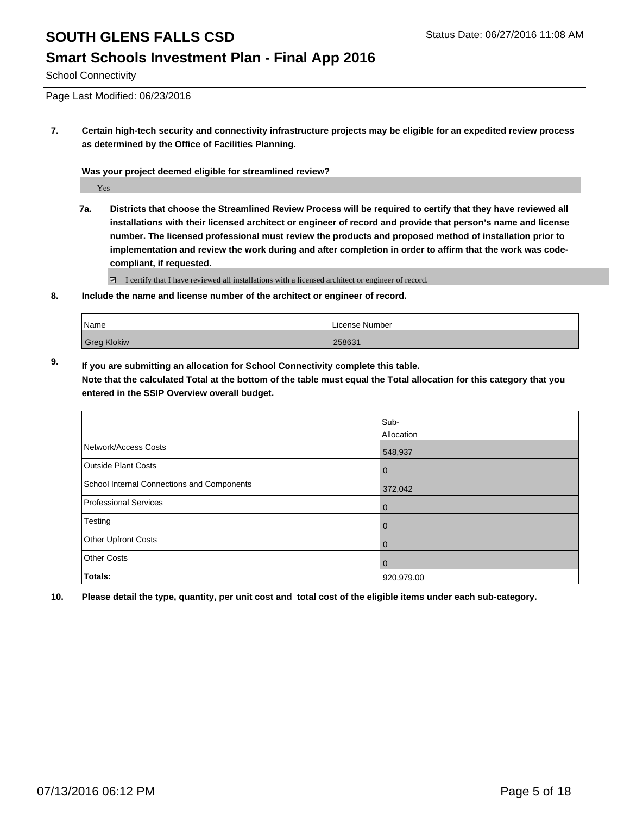### **Smart Schools Investment Plan - Final App 2016**

School Connectivity

Page Last Modified: 06/23/2016

**7. Certain high-tech security and connectivity infrastructure projects may be eligible for an expedited review process as determined by the Office of Facilities Planning.**

**Was your project deemed eligible for streamlined review?**

Yes

**7a. Districts that choose the Streamlined Review Process will be required to certify that they have reviewed all installations with their licensed architect or engineer of record and provide that person's name and license number. The licensed professional must review the products and proposed method of installation prior to implementation and review the work during and after completion in order to affirm that the work was codecompliant, if requested.**

 $\Box$  I certify that I have reviewed all installations with a licensed architect or engineer of record.

**8. Include the name and license number of the architect or engineer of record.**

**entered in the SSIP Overview overall budget.** 

| <sup>I</sup> Name | License Number |
|-------------------|----------------|
| Greg Klokiw       | 258631         |

**9. If you are submitting an allocation for School Connectivity complete this table. Note that the calculated Total at the bottom of the table must equal the Total allocation for this category that you**

|                                            | Sub-<br>Allocation |
|--------------------------------------------|--------------------|
| Network/Access Costs                       | 548,937            |
| <b>Outside Plant Costs</b>                 | $\overline{0}$     |
| School Internal Connections and Components | 372,042            |
| <b>Professional Services</b>               | $\overline{0}$     |
| Testing                                    | $\overline{0}$     |
| Other Upfront Costs                        | $\overline{0}$     |
| <b>Other Costs</b>                         | $\overline{0}$     |
| Totals:                                    | 920,979.00         |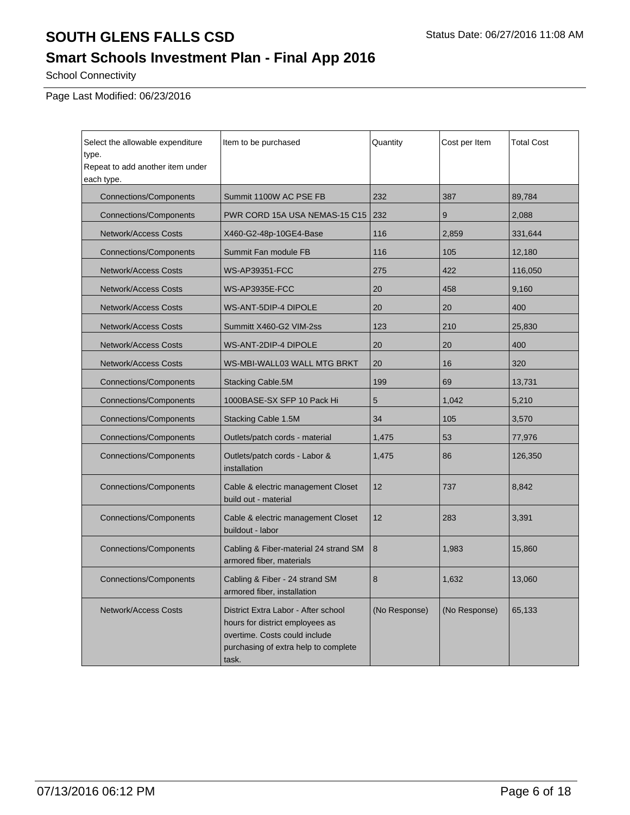# **Smart Schools Investment Plan - Final App 2016**

School Connectivity

Page Last Modified: 06/23/2016

| Select the allowable expenditure<br>type.<br>Repeat to add another item under<br>each type. | Item to be purchased<br>Quantity                                                                                                                         |               | Cost per Item | Total Cost |
|---------------------------------------------------------------------------------------------|----------------------------------------------------------------------------------------------------------------------------------------------------------|---------------|---------------|------------|
| <b>Connections/Components</b>                                                               | Summit 1100W AC PSE FB                                                                                                                                   | 232           | 387           | 89,784     |
| Connections/Components                                                                      | PWR CORD 15A USA NEMAS-15 C15                                                                                                                            | 232           | 9             | 2,088      |
| <b>Network/Access Costs</b>                                                                 | X460-G2-48p-10GE4-Base                                                                                                                                   | 116           | 2,859         | 331,644    |
| Connections/Components                                                                      | Summit Fan module FB                                                                                                                                     | 116           | 105           | 12,180     |
| <b>Network/Access Costs</b>                                                                 | <b>WS-AP39351-FCC</b>                                                                                                                                    | 275           | 422           | 116,050    |
| <b>Network/Access Costs</b>                                                                 | WS-AP3935E-FCC                                                                                                                                           | 20            | 458           | 9,160      |
| <b>Network/Access Costs</b>                                                                 | WS-ANT-5DIP-4 DIPOLE                                                                                                                                     | 20            | 20            | 400        |
| <b>Network/Access Costs</b>                                                                 | Summitt X460-G2 VIM-2ss                                                                                                                                  | 123           | 210           | 25,830     |
| <b>Network/Access Costs</b>                                                                 | WS-ANT-2DIP-4 DIPOLE                                                                                                                                     | 20            | 20            | 400        |
| <b>Network/Access Costs</b>                                                                 | WS-MBI-WALL03 WALL MTG BRKT                                                                                                                              | 20            | 16            | 320        |
| Connections/Components                                                                      | Stacking Cable.5M                                                                                                                                        | 199           | 69            | 13,731     |
| Connections/Components                                                                      | 1000BASE-SX SFP 10 Pack Hi                                                                                                                               | 5             | 1,042         | 5,210      |
| <b>Connections/Components</b>                                                               | Stacking Cable 1.5M                                                                                                                                      | 34            | 105           | 3,570      |
| <b>Connections/Components</b>                                                               | Outlets/patch cords - material                                                                                                                           | 1,475         | 53            | 77,976     |
| <b>Connections/Components</b>                                                               | Outlets/patch cords - Labor &<br>installation                                                                                                            | 1,475         | 86            | 126,350    |
| <b>Connections/Components</b>                                                               | Cable & electric management Closet<br>build out - material                                                                                               | 12            | 737           | 8,842      |
| <b>Connections/Components</b>                                                               | Cable & electric management Closet<br>buildout - labor                                                                                                   | 12            | 283           | 3,391      |
| <b>Connections/Components</b>                                                               | Cabling & Fiber-material 24 strand SM<br>armored fiber, materials                                                                                        | 8             | 1,983         | 15,860     |
| Connections/Components                                                                      | Cabling & Fiber - 24 strand SM<br>armored fiber, installation                                                                                            | 8             | 1,632         | 13,060     |
| <b>Network/Access Costs</b>                                                                 | District Extra Labor - After school<br>hours for district employees as<br>overtime. Costs could include<br>purchasing of extra help to complete<br>task. | (No Response) | (No Response) | 65,133     |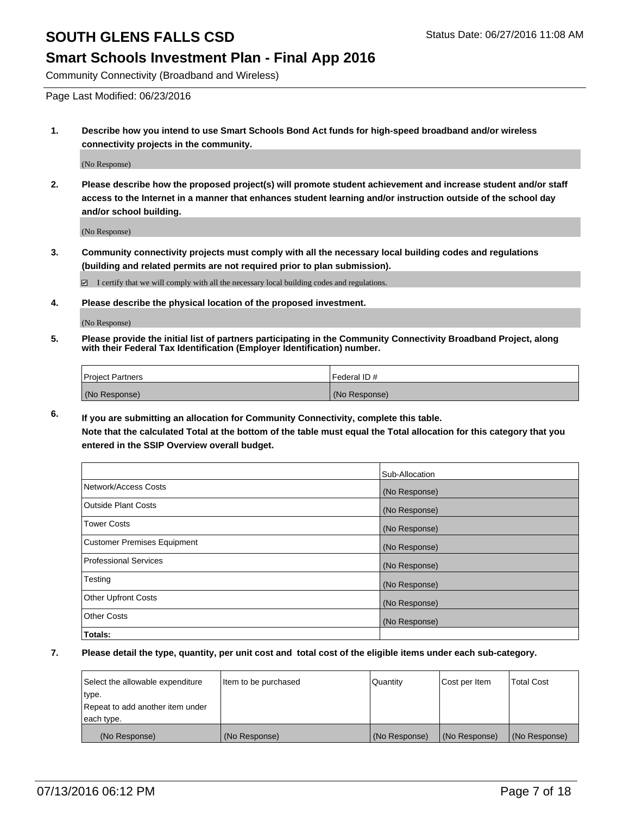### **Smart Schools Investment Plan - Final App 2016**

Community Connectivity (Broadband and Wireless)

Page Last Modified: 06/23/2016

**1. Describe how you intend to use Smart Schools Bond Act funds for high-speed broadband and/or wireless connectivity projects in the community.**

(No Response)

**2. Please describe how the proposed project(s) will promote student achievement and increase student and/or staff access to the Internet in a manner that enhances student learning and/or instruction outside of the school day and/or school building.**

(No Response)

**3. Community connectivity projects must comply with all the necessary local building codes and regulations (building and related permits are not required prior to plan submission).**

 $\boxdot$  I certify that we will comply with all the necessary local building codes and regulations.

**4. Please describe the physical location of the proposed investment.**

(No Response)

**5. Please provide the initial list of partners participating in the Community Connectivity Broadband Project, along with their Federal Tax Identification (Employer Identification) number.**

| Project Partners | <b>IFederal ID#</b> |
|------------------|---------------------|
| (No Response)    | (No Response)       |

**6. If you are submitting an allocation for Community Connectivity, complete this table. Note that the calculated Total at the bottom of the table must equal the Total allocation for this category that you**

**entered in the SSIP Overview overall budget.**

|                                    | Sub-Allocation |
|------------------------------------|----------------|
| Network/Access Costs               | (No Response)  |
| <b>Outside Plant Costs</b>         | (No Response)  |
| <b>Tower Costs</b>                 | (No Response)  |
| <b>Customer Premises Equipment</b> | (No Response)  |
| <b>Professional Services</b>       | (No Response)  |
| Testing                            | (No Response)  |
| <b>Other Upfront Costs</b>         | (No Response)  |
| <b>Other Costs</b>                 | (No Response)  |
| Totals:                            |                |

| Select the allowable expenditure | Item to be purchased | Quantity      | Cost per Item | <b>Total Cost</b> |
|----------------------------------|----------------------|---------------|---------------|-------------------|
| type.                            |                      |               |               |                   |
| Repeat to add another item under |                      |               |               |                   |
| each type.                       |                      |               |               |                   |
| (No Response)                    | (No Response)        | (No Response) | (No Response) | (No Response)     |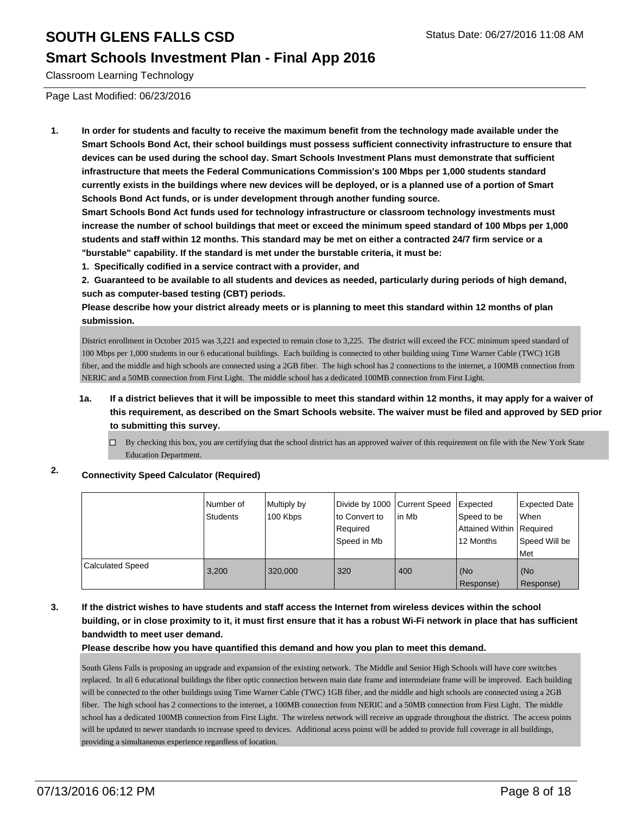### **Smart Schools Investment Plan - Final App 2016**

Classroom Learning Technology

Page Last Modified: 06/23/2016

**1. In order for students and faculty to receive the maximum benefit from the technology made available under the Smart Schools Bond Act, their school buildings must possess sufficient connectivity infrastructure to ensure that devices can be used during the school day. Smart Schools Investment Plans must demonstrate that sufficient infrastructure that meets the Federal Communications Commission's 100 Mbps per 1,000 students standard currently exists in the buildings where new devices will be deployed, or is a planned use of a portion of Smart Schools Bond Act funds, or is under development through another funding source.**

**Smart Schools Bond Act funds used for technology infrastructure or classroom technology investments must increase the number of school buildings that meet or exceed the minimum speed standard of 100 Mbps per 1,000 students and staff within 12 months. This standard may be met on either a contracted 24/7 firm service or a "burstable" capability. If the standard is met under the burstable criteria, it must be:**

**1. Specifically codified in a service contract with a provider, and**

**2. Guaranteed to be available to all students and devices as needed, particularly during periods of high demand, such as computer-based testing (CBT) periods.**

**Please describe how your district already meets or is planning to meet this standard within 12 months of plan submission.**

District enrollment in October 2015 was 3,221 and expected to remain close to 3,225. The district will exceed the FCC minimum speed standard of 100 Mbps per 1,000 students in our 6 educational buildings. Each building is connected to other building using Time Warner Cable (TWC) 1GB fiber, and the middle and high schools are connected using a 2GB fiber. The high school has 2 connections to the internet, a 100MB connection from NERIC and a 50MB connection from First Light. The middle school has a dedicated 100MB connection from First Light.

#### **1a. If a district believes that it will be impossible to meet this standard within 12 months, it may apply for a waiver of this requirement, as described on the Smart Schools website. The waiver must be filed and approved by SED prior to submitting this survey.**

 $\Box$  By checking this box, you are certifying that the school district has an approved waiver of this requirement on file with the New York State Education Department.

### **2. Connectivity Speed Calculator (Required)**

|                         | Number of<br><b>Students</b> | Multiply by<br>100 Kbps | Divide by 1000 Current Speed<br>to Convert to<br>Required<br>Speed in Mb | lin Mb | Expected<br>Speed to be<br>Attained Within Required<br>12 Months | <b>Expected Date</b><br>l When<br>Speed Will be<br>Met |
|-------------------------|------------------------------|-------------------------|--------------------------------------------------------------------------|--------|------------------------------------------------------------------|--------------------------------------------------------|
| <b>Calculated Speed</b> | 3,200                        | 320,000                 | 320                                                                      | 400    | (No<br>Response)                                                 | (No<br>Response)                                       |

#### **3. If the district wishes to have students and staff access the Internet from wireless devices within the school building, or in close proximity to it, it must first ensure that it has a robust Wi-Fi network in place that has sufficient bandwidth to meet user demand.**

**Please describe how you have quantified this demand and how you plan to meet this demand.**

South Glens Falls is proposing an upgrade and expansion of the existing network. The Middle and Senior High Schools will have core switches replaced. In all 6 educational buildings the fiber optic connection between main date frame and intermdeiate frame will be improved. Each building will be connected to the other buildings using Time Warner Cable (TWC) 1GB fiber, and the middle and high schools are connected using a 2GB fiber. The high school has 2 connections to the internet, a 100MB connection from NERIC and a 50MB connection from First Light. The middle school has a dedicated 100MB connection from First Light. The wireless network will receive an upgrade throughout the district. The access points will be updated to newer standards to increase speed to devices. Additional acess poinst will be added to provide full coverage in all buildings, providing a simultaneous experience regardless of location.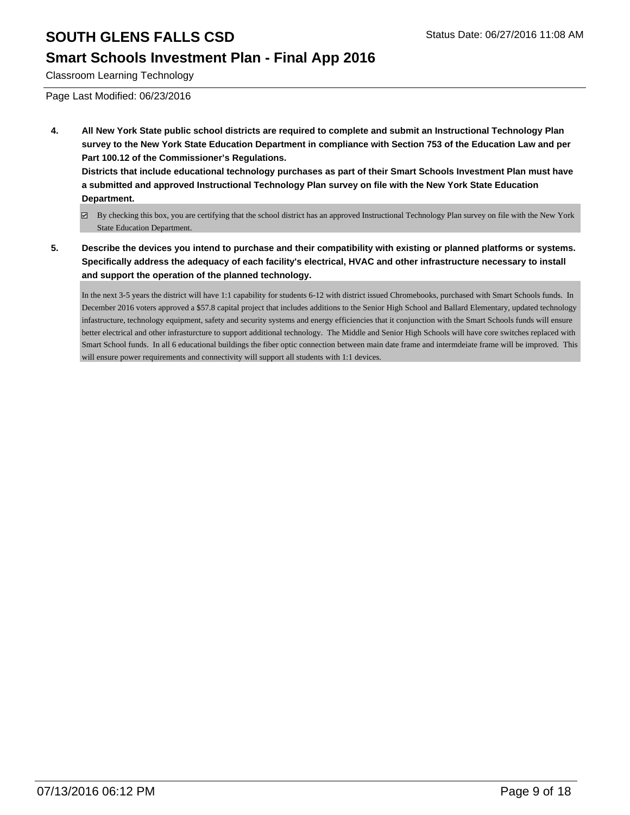### **Smart Schools Investment Plan - Final App 2016**

Classroom Learning Technology

Page Last Modified: 06/23/2016

**4. All New York State public school districts are required to complete and submit an Instructional Technology Plan survey to the New York State Education Department in compliance with Section 753 of the Education Law and per Part 100.12 of the Commissioner's Regulations.**

**Districts that include educational technology purchases as part of their Smart Schools Investment Plan must have a submitted and approved Instructional Technology Plan survey on file with the New York State Education Department.**

- By checking this box, you are certifying that the school district has an approved Instructional Technology Plan survey on file with the New York State Education Department.
- **5. Describe the devices you intend to purchase and their compatibility with existing or planned platforms or systems. Specifically address the adequacy of each facility's electrical, HVAC and other infrastructure necessary to install and support the operation of the planned technology.**

In the next 3-5 years the district will have 1:1 capability for students 6-12 with district issued Chromebooks, purchased with Smart Schools funds. In December 2016 voters approved a \$57.8 capital project that includes additions to the Senior High School and Ballard Elementary, updated technology infastructure, technology equipment, safety and security systems and energy efficiencies that it conjunction with the Smart Schools funds will ensure better electrical and other infrasturcture to support additional technology. The Middle and Senior High Schools will have core switches replaced with Smart School funds. In all 6 educational buildings the fiber optic connection between main date frame and intermdeiate frame will be improved. This will ensure power requirements and connectivity will support all students with 1:1 devices.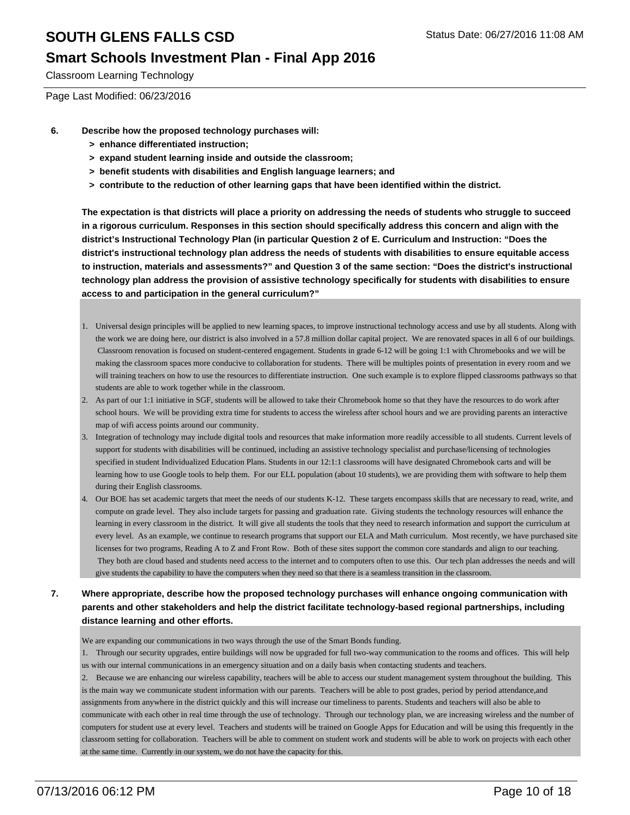### **Smart Schools Investment Plan - Final App 2016**

Classroom Learning Technology

Page Last Modified: 06/23/2016

- **6. Describe how the proposed technology purchases will:**
	- **> enhance differentiated instruction;**
	- **> expand student learning inside and outside the classroom;**
	- **> benefit students with disabilities and English language learners; and**
	- **> contribute to the reduction of other learning gaps that have been identified within the district.**

**The expectation is that districts will place a priority on addressing the needs of students who struggle to succeed in a rigorous curriculum. Responses in this section should specifically address this concern and align with the district's Instructional Technology Plan (in particular Question 2 of E. Curriculum and Instruction: "Does the district's instructional technology plan address the needs of students with disabilities to ensure equitable access to instruction, materials and assessments?" and Question 3 of the same section: "Does the district's instructional technology plan address the provision of assistive technology specifically for students with disabilities to ensure access to and participation in the general curriculum?"**

- 1. Universal design principles will be applied to new learning spaces, to improve instructional technology access and use by all students. Along with the work we are doing here, our district is also involved in a 57.8 million dollar capital project. We are renovated spaces in all 6 of our buildings. Classroom renovation is focused on student-centered engagement. Students in grade 6-12 will be going 1:1 with Chromebooks and we will be making the classroom spaces more conducive to collaboration for students. There will be multiples points of presentation in every room and we will training teachers on how to use the resources to differentiate instruction. One such example is to explore flipped classrooms pathways so that students are able to work together while in the classroom.
- 2. As part of our 1:1 initiative in SGF, students will be allowed to take their Chromebook home so that they have the resources to do work after school hours. We will be providing extra time for students to access the wireless after school hours and we are providing parents an interactive map of wifi access points around our community.
- Integration of technology may include digital tools and resources that make information more readily accessible to all students. Current levels of 3. support for students with disabilities will be continued, including an assistive technology specialist and purchase/licensing of technologies specified in student Individualized Education Plans. Students in our 12:1:1 classrooms will have designated Chromebook carts and will be learning how to use Google tools to help them. For our ELL population (about 10 students), we are providing them with software to help them during their English classrooms.
- 4. Our BOE has set academic targets that meet the needs of our students K-12. These targets encompass skills that are necessary to read, write, and compute on grade level. They also include targets for passing and graduation rate. Giving students the technology resources will enhance the learning in every classroom in the district. It will give all students the tools that they need to research information and support the curriculum at every level. As an example, we continue to research programs that support our ELA and Math curriculum. Most recently, we have purchased site licenses for two programs, Reading A to Z and Front Row. Both of these sites support the common core standards and align to our teaching. They both are cloud based and students need access to the internet and to computers often to use this. Our tech plan addresses the needs and will give students the capability to have the computers when they need so that there is a seamless transition in the classroom.
- **7. Where appropriate, describe how the proposed technology purchases will enhance ongoing communication with parents and other stakeholders and help the district facilitate technology-based regional partnerships, including distance learning and other efforts.**

We are expanding our communications in two ways through the use of the Smart Bonds funding.

- 1. Through our security upgrades, entire buildings will now be upgraded for full two-way communication to the rooms and offices. This will help
- us with our internal communications in an emergency situation and on a daily basis when contacting students and teachers.

2. Because we are enhancing our wireless capability, teachers will be able to access our student management system throughout the building. This is the main way we communicate student information with our parents. Teachers will be able to post grades, period by period attendance,and assignments from anywhere in the district quickly and this will increase our timeliness to parents. Students and teachers will also be able to communicate with each other in real time through the use of technology. Through our technology plan, we are increasing wireless and the number of computers for student use at every level. Teachers and students will be trained on Google Apps for Education and will be using this frequently in the classroom setting for collaboration. Teachers will be able to comment on student work and students will be able to work on projects with each other at the same time. Currently in our system, we do not have the capacity for this.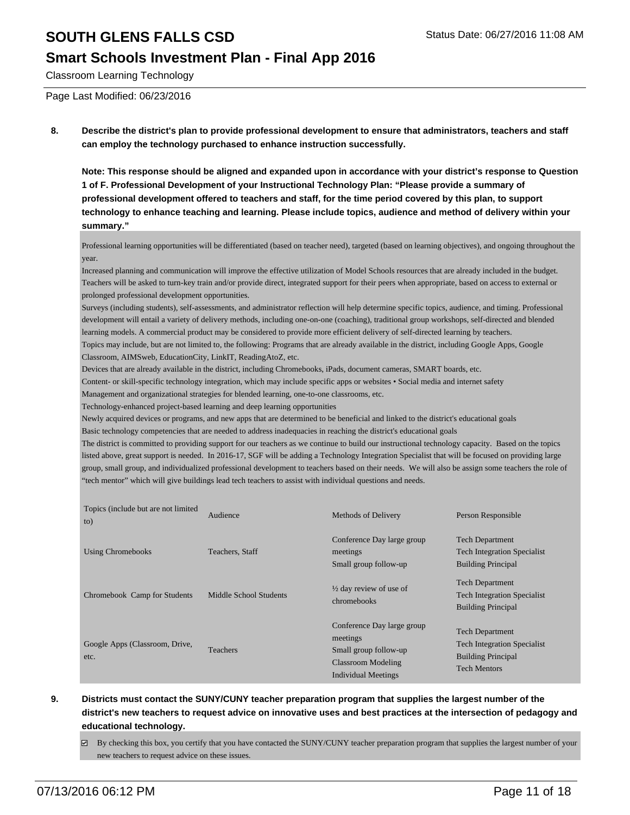#### **Smart Schools Investment Plan - Final App 2016**

Classroom Learning Technology

Page Last Modified: 06/23/2016

**8. Describe the district's plan to provide professional development to ensure that administrators, teachers and staff can employ the technology purchased to enhance instruction successfully.**

**Note: This response should be aligned and expanded upon in accordance with your district's response to Question 1 of F. Professional Development of your Instructional Technology Plan: "Please provide a summary of professional development offered to teachers and staff, for the time period covered by this plan, to support technology to enhance teaching and learning. Please include topics, audience and method of delivery within your summary."**

Professional learning opportunities will be differentiated (based on teacher need), targeted (based on learning objectives), and ongoing throughout the year.

Increased planning and communication will improve the effective utilization of Model Schools resources that are already included in the budget. Teachers will be asked to turn-key train and/or provide direct, integrated support for their peers when appropriate, based on access to external or prolonged professional development opportunities.

Surveys (including students), self-assessments, and administrator reflection will help determine specific topics, audience, and timing. Professional development will entail a variety of delivery methods, including one-on-one (coaching), traditional group workshops, self-directed and blended learning models. A commercial product may be considered to provide more efficient delivery of self-directed learning by teachers.

Topics may include, but are not limited to, the following: Programs that are already available in the district, including Google Apps, Google Classroom, AIMSweb, EducationCity, LinkIT, ReadingAtoZ, etc.

Devices that are already available in the district, including Chromebooks, iPads, document cameras, SMART boards, etc.

Content- or skill-specific technology integration, which may include specific apps or websites • Social media and internet safety

Management and organizational strategies for blended learning, one-to-one classrooms, etc.

Technology-enhanced project-based learning and deep learning opportunities

Newly acquired devices or programs, and new apps that are determined to be beneficial and linked to the district's educational goals

Basic technology competencies that are needed to address inadequacies in reaching the district's educational goals

The district is committed to providing support for our teachers as we continue to build our instructional technology capacity. Based on the topics listed above, great support is needed. In 2016-17, SGF will be adding a Technology Integration Specialist that will be focused on providing large group, small group, and individualized professional development to teachers based on their needs. We will also be assign some teachers the role of "tech mentor" which will give buildings lead tech teachers to assist with individual questions and needs.

| Topics (include but are not limited<br>to) | Audience               | Methods of Delivery                                                                                                 | Person Responsible                                                                                               |
|--------------------------------------------|------------------------|---------------------------------------------------------------------------------------------------------------------|------------------------------------------------------------------------------------------------------------------|
| <b>Using Chromebooks</b>                   | Teachers, Staff        | Conference Day large group<br>meetings<br>Small group follow-up                                                     | <b>Tech Department</b><br><b>Tech Integration Specialist</b><br><b>Building Principal</b>                        |
| Chromebook Camp for Students               | Middle School Students | $\frac{1}{2}$ day review of use of<br>chromebooks                                                                   | <b>Tech Department</b><br><b>Tech Integration Specialist</b><br><b>Building Principal</b>                        |
| Google Apps (Classroom, Drive,<br>etc.     | <b>Teachers</b>        | Conference Day large group<br>meetings<br>Small group follow-up<br>Classroom Modeling<br><b>Individual Meetings</b> | <b>Tech Department</b><br><b>Tech Integration Specialist</b><br><b>Building Principal</b><br><b>Tech Mentors</b> |

#### **9. Districts must contact the SUNY/CUNY teacher preparation program that supplies the largest number of the district's new teachers to request advice on innovative uses and best practices at the intersection of pedagogy and educational technology.**

 $\boxtimes$  By checking this box, you certify that you have contacted the SUNY/CUNY teacher preparation program that supplies the largest number of your new teachers to request advice on these issues.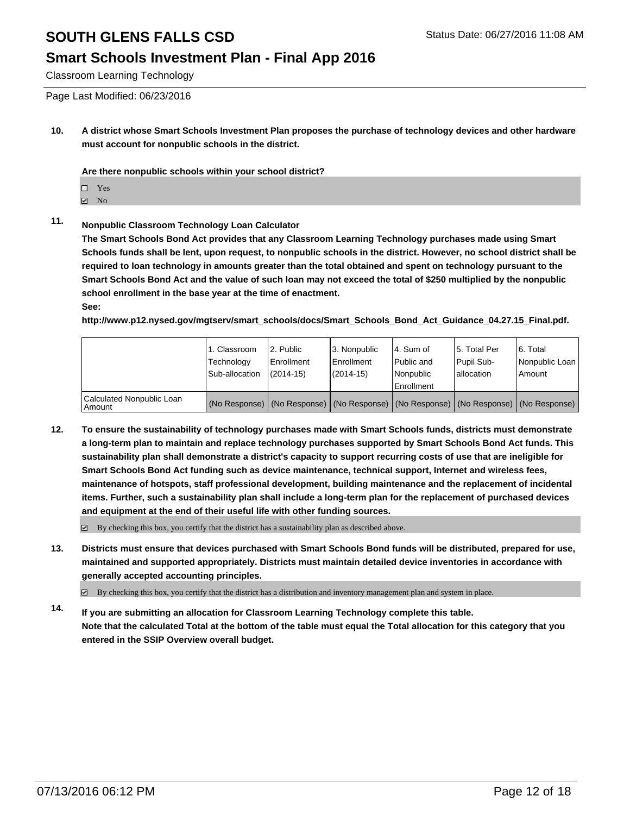### **Smart Schools Investment Plan - Final App 2016**

Classroom Learning Technology

Page Last Modified: 06/23/2016

**10. A district whose Smart Schools Investment Plan proposes the purchase of technology devices and other hardware must account for nonpublic schools in the district.**

**Are there nonpublic schools within your school district?**

- $\Box$  Yes
- **☑** No

#### **11. Nonpublic Classroom Technology Loan Calculator**

**The Smart Schools Bond Act provides that any Classroom Learning Technology purchases made using Smart Schools funds shall be lent, upon request, to nonpublic schools in the district. However, no school district shall be required to loan technology in amounts greater than the total obtained and spent on technology pursuant to the Smart Schools Bond Act and the value of such loan may not exceed the total of \$250 multiplied by the nonpublic school enrollment in the base year at the time of enactment. See:**

**http://www.p12.nysed.gov/mgtserv/smart\_schools/docs/Smart\_Schools\_Bond\_Act\_Guidance\_04.27.15\_Final.pdf.**

|                                       | 1. Classroom<br>Technology<br>Sub-allocation | 2. Public<br>Enrollment<br>$(2014 - 15)$ | 3. Nonpublic<br><b>Enrollment</b><br>(2014-15)                                                | l 4. Sum of<br>Public and<br>Nonpublic | 15. Total Per<br>Pupil Sub-<br>lallocation | 6. Total<br>Nonpublic Loan<br>Amount |
|---------------------------------------|----------------------------------------------|------------------------------------------|-----------------------------------------------------------------------------------------------|----------------------------------------|--------------------------------------------|--------------------------------------|
|                                       |                                              |                                          |                                                                                               | Enrollment                             |                                            |                                      |
| Calculated Nonpublic Loan<br>  Amount |                                              |                                          | (No Response)   (No Response)   (No Response)   (No Response)   (No Response)   (No Response) |                                        |                                            |                                      |

**12. To ensure the sustainability of technology purchases made with Smart Schools funds, districts must demonstrate a long-term plan to maintain and replace technology purchases supported by Smart Schools Bond Act funds. This sustainability plan shall demonstrate a district's capacity to support recurring costs of use that are ineligible for Smart Schools Bond Act funding such as device maintenance, technical support, Internet and wireless fees, maintenance of hotspots, staff professional development, building maintenance and the replacement of incidental items. Further, such a sustainability plan shall include a long-term plan for the replacement of purchased devices and equipment at the end of their useful life with other funding sources.**

 $\boxtimes$  By checking this box, you certify that the district has a sustainability plan as described above.

**13. Districts must ensure that devices purchased with Smart Schools Bond funds will be distributed, prepared for use, maintained and supported appropriately. Districts must maintain detailed device inventories in accordance with generally accepted accounting principles.**

By checking this box, you certify that the district has a distribution and inventory management plan and system in place.

**14. If you are submitting an allocation for Classroom Learning Technology complete this table. Note that the calculated Total at the bottom of the table must equal the Total allocation for this category that you entered in the SSIP Overview overall budget.**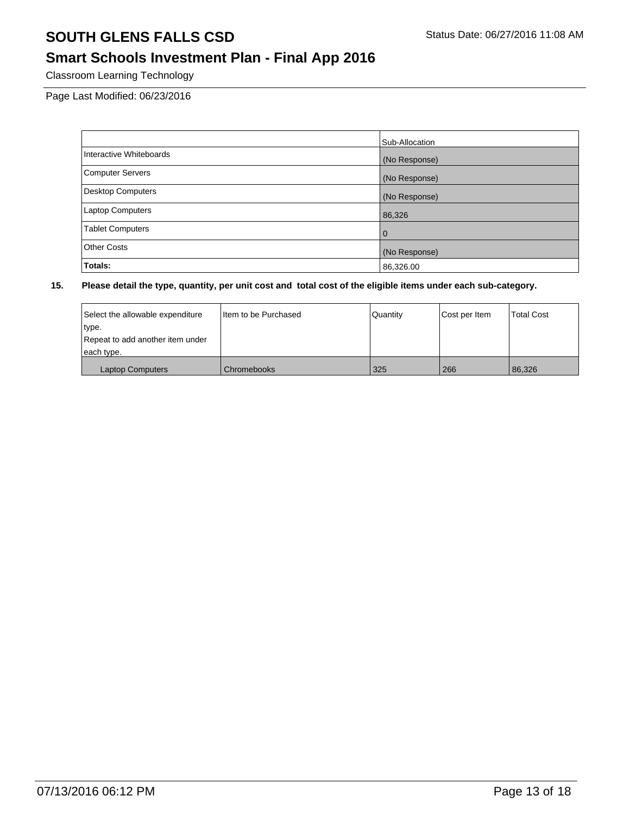## **Smart Schools Investment Plan - Final App 2016**

Classroom Learning Technology

Page Last Modified: 06/23/2016

|                          | Sub-Allocation |
|--------------------------|----------------|
| Interactive Whiteboards  | (No Response)  |
| <b>Computer Servers</b>  | (No Response)  |
| <b>Desktop Computers</b> | (No Response)  |
| <b>Laptop Computers</b>  | 86,326         |
| <b>Tablet Computers</b>  | $\overline{0}$ |
| <b>Other Costs</b>       | (No Response)  |
| <b>Totals:</b>           | 86,326.00      |

| Select the allowable expenditure | I Item to be Purchased | Quantity | Cost per Item | <b>Total Cost</b> |
|----------------------------------|------------------------|----------|---------------|-------------------|
| type.                            |                        |          |               |                   |
| Repeat to add another item under |                        |          |               |                   |
| each type.                       |                        |          |               |                   |
| <b>Laptop Computers</b>          | Chromebooks            | 325      | 266           | 86,326            |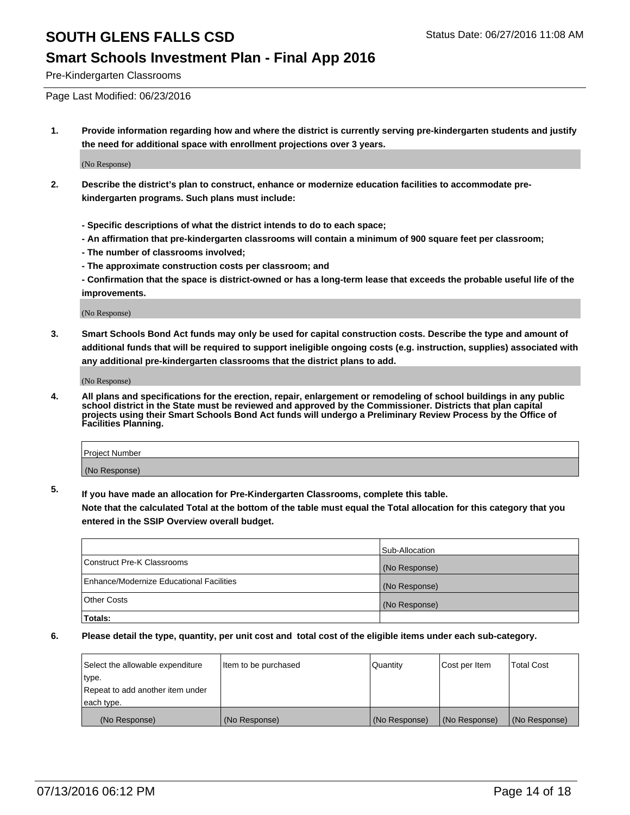#### **Smart Schools Investment Plan - Final App 2016**

Pre-Kindergarten Classrooms

Page Last Modified: 06/23/2016

**1. Provide information regarding how and where the district is currently serving pre-kindergarten students and justify the need for additional space with enrollment projections over 3 years.**

(No Response)

- **2. Describe the district's plan to construct, enhance or modernize education facilities to accommodate prekindergarten programs. Such plans must include:**
	- **Specific descriptions of what the district intends to do to each space;**
	- **An affirmation that pre-kindergarten classrooms will contain a minimum of 900 square feet per classroom;**
	- **The number of classrooms involved;**
	- **The approximate construction costs per classroom; and**
	- **Confirmation that the space is district-owned or has a long-term lease that exceeds the probable useful life of the improvements.**

(No Response)

**3. Smart Schools Bond Act funds may only be used for capital construction costs. Describe the type and amount of additional funds that will be required to support ineligible ongoing costs (e.g. instruction, supplies) associated with any additional pre-kindergarten classrooms that the district plans to add.**

(No Response)

**4. All plans and specifications for the erection, repair, enlargement or remodeling of school buildings in any public school district in the State must be reviewed and approved by the Commissioner. Districts that plan capital projects using their Smart Schools Bond Act funds will undergo a Preliminary Review Process by the Office of Facilities Planning.**

| <b>Project Number</b> |  |
|-----------------------|--|
| (No Response)         |  |

**5. If you have made an allocation for Pre-Kindergarten Classrooms, complete this table.**

**Note that the calculated Total at the bottom of the table must equal the Total allocation for this category that you entered in the SSIP Overview overall budget.**

|                                          | Sub-Allocation |
|------------------------------------------|----------------|
| Construct Pre-K Classrooms               | (No Response)  |
| Enhance/Modernize Educational Facilities | (No Response)  |
| <b>Other Costs</b>                       | (No Response)  |
| Totals:                                  |                |

| Select the allowable expenditure | litem to be purchased | Quantity      | Cost per Item | <b>Total Cost</b> |
|----------------------------------|-----------------------|---------------|---------------|-------------------|
| type.                            |                       |               |               |                   |
| Repeat to add another item under |                       |               |               |                   |
| each type.                       |                       |               |               |                   |
| (No Response)                    | (No Response)         | (No Response) | (No Response) | (No Response)     |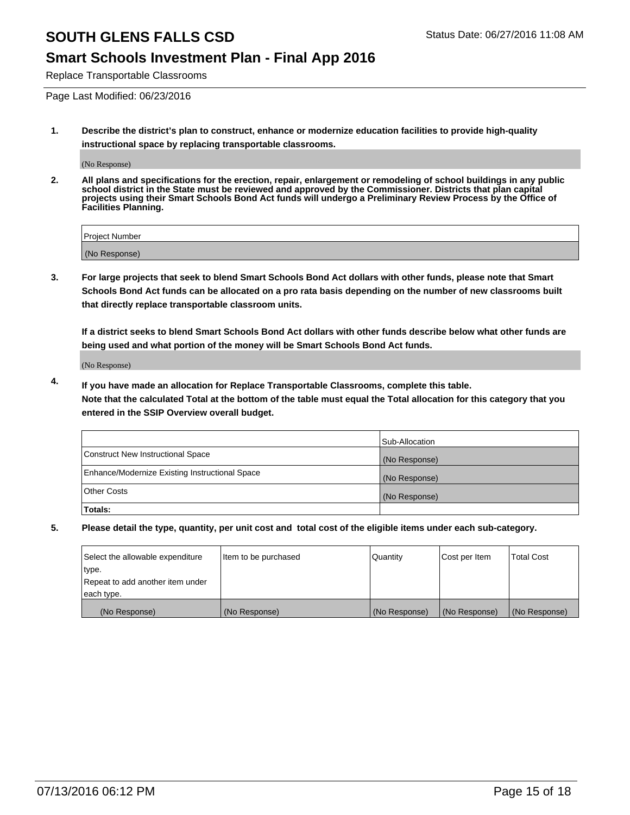#### **Smart Schools Investment Plan - Final App 2016**

Replace Transportable Classrooms

Page Last Modified: 06/23/2016

**1. Describe the district's plan to construct, enhance or modernize education facilities to provide high-quality instructional space by replacing transportable classrooms.**

(No Response)

**2. All plans and specifications for the erection, repair, enlargement or remodeling of school buildings in any public school district in the State must be reviewed and approved by the Commissioner. Districts that plan capital projects using their Smart Schools Bond Act funds will undergo a Preliminary Review Process by the Office of Facilities Planning.**

| <b>Project Number</b> |  |
|-----------------------|--|
| (No Response)         |  |

**3. For large projects that seek to blend Smart Schools Bond Act dollars with other funds, please note that Smart Schools Bond Act funds can be allocated on a pro rata basis depending on the number of new classrooms built that directly replace transportable classroom units.**

**If a district seeks to blend Smart Schools Bond Act dollars with other funds describe below what other funds are being used and what portion of the money will be Smart Schools Bond Act funds.**

(No Response)

**4. If you have made an allocation for Replace Transportable Classrooms, complete this table. Note that the calculated Total at the bottom of the table must equal the Total allocation for this category that you entered in the SSIP Overview overall budget.**

|                                                | Sub-Allocation |
|------------------------------------------------|----------------|
| Construct New Instructional Space              | (No Response)  |
| Enhance/Modernize Existing Instructional Space | (No Response)  |
| Other Costs                                    | (No Response)  |
| Totals:                                        |                |

| Select the allowable expenditure | Item to be purchased | Quantity      | Cost per Item | <b>Total Cost</b> |
|----------------------------------|----------------------|---------------|---------------|-------------------|
| type.                            |                      |               |               |                   |
| Repeat to add another item under |                      |               |               |                   |
| each type.                       |                      |               |               |                   |
| (No Response)                    | (No Response)        | (No Response) | (No Response) | (No Response)     |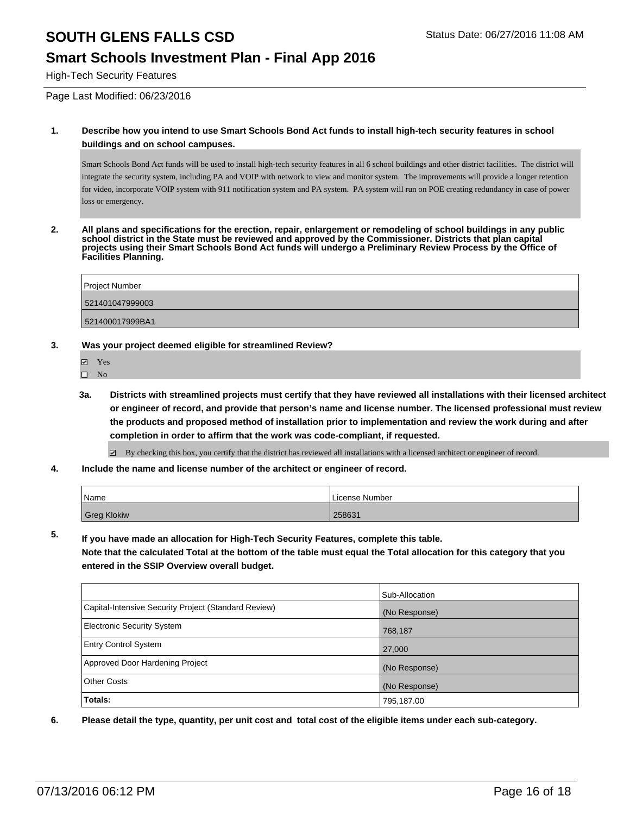#### **Smart Schools Investment Plan - Final App 2016**

High-Tech Security Features

Page Last Modified: 06/23/2016

#### **1. Describe how you intend to use Smart Schools Bond Act funds to install high-tech security features in school buildings and on school campuses.**

Smart Schools Bond Act funds will be used to install high-tech security features in all 6 school buildings and other district facilities. The district will integrate the security system, including PA and VOIP with network to view and monitor system. The improvements will provide a longer retention for video, incorporate VOIP system with 911 notification system and PA system. PA system will run on POE creating redundancy in case of power loss or emergency.

**2. All plans and specifications for the erection, repair, enlargement or remodeling of school buildings in any public school district in the State must be reviewed and approved by the Commissioner. Districts that plan capital projects using their Smart Schools Bond Act funds will undergo a Preliminary Review Process by the Office of Facilities Planning.** 

| <b>Project Number</b> |  |
|-----------------------|--|
| 521401047999003       |  |
| 521400017999BA1       |  |

- **3. Was your project deemed eligible for streamlined Review?**
	- **☑** Yes
	- $\square$  No
	- **3a. Districts with streamlined projects must certify that they have reviewed all installations with their licensed architect or engineer of record, and provide that person's name and license number. The licensed professional must review the products and proposed method of installation prior to implementation and review the work during and after completion in order to affirm that the work was code-compliant, if requested.**

By checking this box, you certify that the district has reviewed all installations with a licensed architect or engineer of record.

**4. Include the name and license number of the architect or engineer of record.**

| 'Name              | l License Number |
|--------------------|------------------|
| <b>Greg Klokiw</b> | 258631           |

**5. If you have made an allocation for High-Tech Security Features, complete this table. Note that the calculated Total at the bottom of the table must equal the Total allocation for this category that you entered in the SSIP Overview overall budget.**

|                                                      | Sub-Allocation |
|------------------------------------------------------|----------------|
| Capital-Intensive Security Project (Standard Review) | (No Response)  |
| <b>Electronic Security System</b>                    | 768,187        |
| <b>Entry Control System</b>                          | 27,000         |
| Approved Door Hardening Project                      | (No Response)  |
| <b>Other Costs</b>                                   | (No Response)  |
| Totals:                                              | 795,187.00     |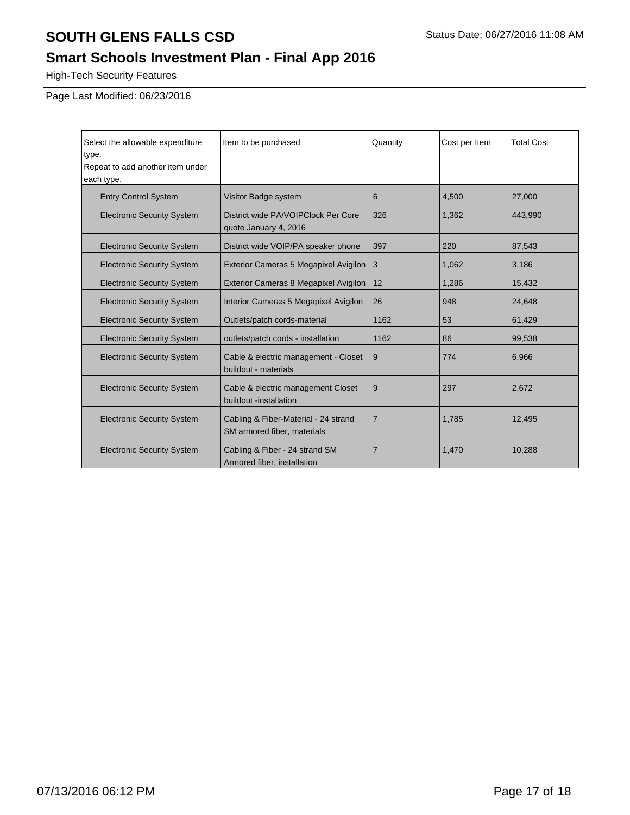# **Smart Schools Investment Plan - Final App 2016**

High-Tech Security Features

Page Last Modified: 06/23/2016

| Select the allowable expenditure<br>type.<br>Repeat to add another item under<br>each type. | Item to be purchased                                                | Quantity        | Cost per Item | <b>Total Cost</b> |
|---------------------------------------------------------------------------------------------|---------------------------------------------------------------------|-----------------|---------------|-------------------|
| <b>Entry Control System</b>                                                                 | Visitor Badge system                                                | 6               | 4,500         | 27,000            |
| <b>Electronic Security System</b>                                                           | District wide PA/VOIPClock Per Core<br>quote January 4, 2016        | 326             | 1,362         | 443,990           |
| <b>Electronic Security System</b>                                                           | District wide VOIP/PA speaker phone                                 | 397             | 220           | 87,543            |
| <b>Electronic Security System</b>                                                           | <b>Exterior Cameras 5 Megapixel Avigilon</b>                        | $\vert 3 \vert$ | 1,062         | 3,186             |
| <b>Electronic Security System</b>                                                           | Exterior Cameras 8 Megapixel Avigilon                               | 12              | 1,286         | 15,432            |
| <b>Electronic Security System</b>                                                           | Interior Cameras 5 Megapixel Avigilon                               | 26              | 948           | 24,648            |
| <b>Electronic Security System</b>                                                           | Outlets/patch cords-material                                        | 1162            | 53            | 61,429            |
| <b>Electronic Security System</b>                                                           | outlets/patch cords - installation                                  | 1162            | 86            | 99,538            |
| <b>Electronic Security System</b>                                                           | Cable & electric management - Closet<br>buildout - materials        | 9               | 774           | 6,966             |
| <b>Electronic Security System</b>                                                           | Cable & electric management Closet<br>buildout -installation        | 9               | 297           | 2,672             |
| <b>Electronic Security System</b>                                                           | Cabling & Fiber-Material - 24 strand<br>SM armored fiber, materials | $\overline{7}$  | 1,785         | 12.495            |
| <b>Electronic Security System</b>                                                           | Cabling & Fiber - 24 strand SM<br>Armored fiber, installation       | $\overline{7}$  | 1,470         | 10,288            |